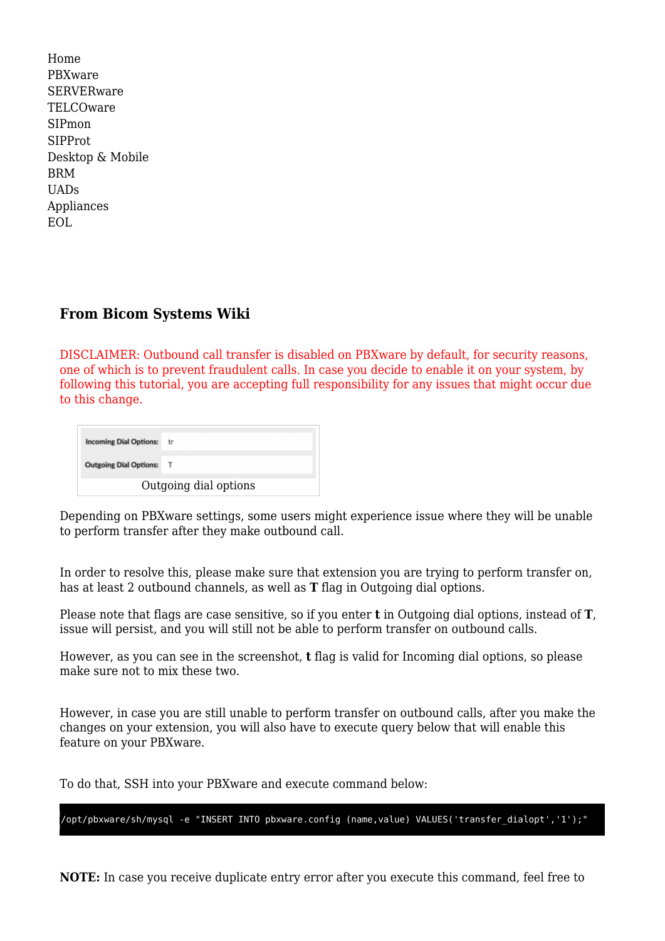| Home              |
|-------------------|
| PBXware           |
| <b>SERVERware</b> |
| TELCOware         |
| SIPmon            |
| SIPProt           |
| Desktop & Mobile  |
| <b>BRM</b>        |
| <b>UADs</b>       |
| Appliances        |
| EOL               |
|                   |

## **From Bicom Systems Wiki**

DISCLAIMER: Outbound call transfer is disabled on PBXware by default, for security reasons, one of which is to prevent fraudulent calls. In case you decide to enable it on your system, by following this tutorial, you are accepting full responsibility for any issues that might occur due to this change.

| <b>Incoming Dial Options:</b> | tr. |
|-------------------------------|-----|
| Outgoing Dial Options: T      |     |
| Outgoing dial options         |     |

Depending on PBXware settings, some users might experience issue where they will be unable to perform transfer after they make outbound call.

In order to resolve this, please make sure that extension you are trying to perform transfer on, has at least 2 outbound channels, as well as **T** flag in Outgoing dial options.

Please note that flags are case sensitive, so if you enter **t** in Outgoing dial options, instead of **T**, issue will persist, and you will still not be able to perform transfer on outbound calls.

However, as you can see in the screenshot, **t** flag is valid for Incoming dial options, so please make sure not to mix these two.

However, in case you are still unable to perform transfer on outbound calls, after you make the changes on your extension, you will also have to execute query below that will enable this feature on your PBXware.

To do that, SSH into your PBXware and execute command below:

/opt/pbxware/sh/mysql -e "INSERT INTO pbxware.config (name,value) VALUES('transfer\_dialopt','1');"

**NOTE:** In case you receive duplicate entry error after you execute this command, feel free to